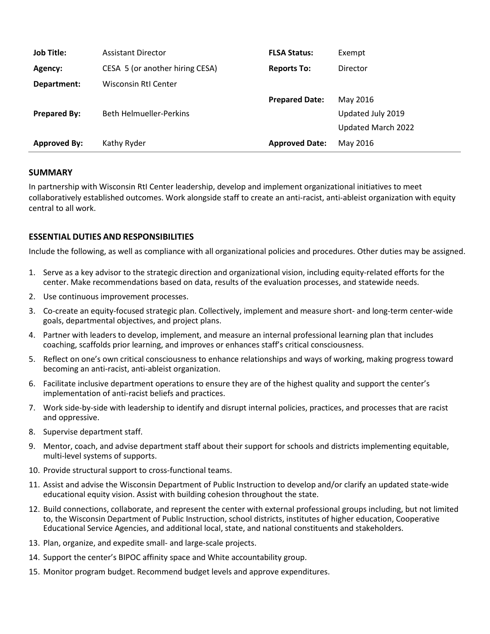| <b>Job Title:</b>   | <b>Assistant Director</b>       | <b>FLSA Status:</b>   | Exempt             |
|---------------------|---------------------------------|-----------------------|--------------------|
| Agency:             | CESA 5 (or another hiring CESA) | <b>Reports To:</b>    | Director           |
| Department:         | Wisconsin RtI Center            |                       |                    |
|                     |                                 | <b>Prepared Date:</b> | May 2016           |
| <b>Prepared By:</b> | <b>Beth Helmueller-Perkins</b>  |                       | Updated July 2019  |
|                     |                                 |                       | Updated March 2022 |
| <b>Approved By:</b> | Kathy Ryder                     | <b>Approved Date:</b> | May 2016           |

### **SUMMARY**

In partnership with Wisconsin RtI Center leadership, develop and implement organizational initiatives to meet collaboratively established outcomes. Work alongside staff to create an anti-racist, anti-ableist organization with equity central to all work.

## **ESSENTIAL DUTIES AND RESPONSIBILITIES**

Include the following, as well as compliance with all organizational policies and procedures. Other duties may be assigned.

- 1. Serve as a key advisor to the strategic direction and organizational vision, including equity-related efforts for the center. Make recommendations based on data, results of the evaluation processes, and statewide needs.
- 2. Use continuous improvement processes.
- 3. Co-create an equity-focused strategic plan. Collectively, implement and measure short- and long-term center-wide goals, departmental objectives, and project plans.
- 4. Partner with leaders to develop, implement, and measure an internal professional learning plan that includes coaching, scaffolds prior learning, and improves or enhances staff's critical consciousness.
- 5. Reflect on one's own critical consciousness to enhance relationships and ways of working, making progress toward becoming an anti-racist, anti-ableist organization.
- 6. Facilitate inclusive department operations to ensure they are of the highest quality and support the center's implementation of anti-racist beliefs and practices.
- 7. Work side-by-side with leadership to identify and disrupt internal policies, practices, and processes that are racist and oppressive.
- 8. Supervise department staff.
- 9. Mentor, coach, and advise department staff about their support for schools and districts implementing equitable, multi-level systems of supports.
- 10. Provide structural support to cross-functional teams.
- 11. Assist and advise the Wisconsin Department of Public Instruction to develop and/or clarify an updated state-wide educational equity vision. Assist with building cohesion throughout the state.
- 12. Build connections, collaborate, and represent the center with external professional groups including, but not limited to, the Wisconsin Department of Public Instruction, school districts, institutes of higher education, Cooperative Educational Service Agencies, and additional local, state, and national constituents and stakeholders.
- 13. Plan, organize, and expedite small- and large-scale projects.
- 14. Support the center's BIPOC affinity space and White accountability group.
- 15. Monitor program budget. Recommend budget levels and approve expenditures.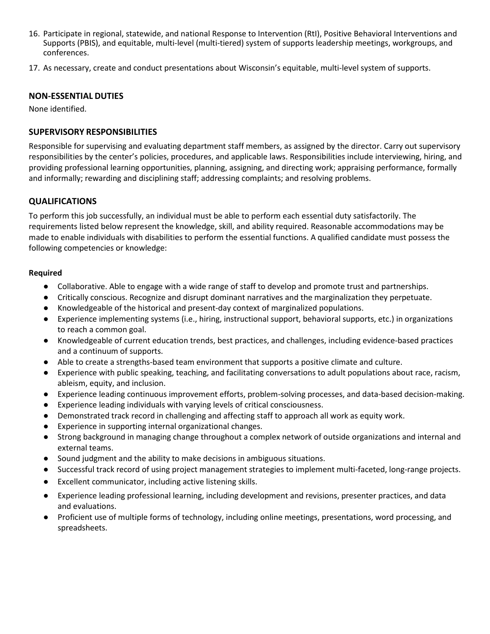- 16. Participate in regional, statewide, and national Response to Intervention (RtI), Positive Behavioral Interventions and Supports (PBIS), and equitable, multi-level (multi-tiered) system of supports leadership meetings, workgroups, and conferences.
- 17. As necessary, create and conduct presentations about Wisconsin's equitable, multi-level system of supports.

### **NON-ESSENTIAL DUTIES**

None identified.

# **SUPERVISORY RESPONSIBILITIES**

Responsible for supervising and evaluating department staff members, as assigned by the director. Carry out supervisory responsibilities by the center's policies, procedures, and applicable laws. Responsibilities include interviewing, hiring, and providing professional learning opportunities, planning, assigning, and directing work; appraising performance, formally and informally; rewarding and disciplining staff; addressing complaints; and resolving problems.

## **QUALIFICATIONS**

To perform this job successfully, an individual must be able to perform each essential duty satisfactorily. The requirements listed below represent the knowledge, skill, and ability required. Reasonable accommodations may be made to enable individuals with disabilities to perform the essential functions. A qualified candidate must possess the following competencies or knowledge:

## **Required**

- Collaborative. Able to engage with a wide range of staff to develop and promote trust and partnerships.
- Critically conscious. Recognize and disrupt dominant narratives and the marginalization they perpetuate.
- Knowledgeable of the historical and present-day context of marginalized populations.
- Experience implementing systems (i.e., hiring, instructional support, behavioral supports, etc.) in organizations to reach a common goal.
- Knowledgeable of current education trends, best practices, and challenges, including evidence-based practices and a continuum of supports.
- Able to create a strengths-based team environment that supports a positive climate and culture.
- Experience with public speaking, teaching, and facilitating conversations to adult populations about race, racism, ableism, equity, and inclusion.
- Experience leading continuous improvement efforts, problem-solving processes, and data-based decision-making.
- Experience leading individuals with varying levels of critical consciousness.
- Demonstrated track record in challenging and affecting staff to approach all work as equity work.
- Experience in supporting internal organizational changes.
- Strong background in managing change throughout a complex network of outside organizations and internal and external teams.
- Sound judgment and the ability to make decisions in ambiguous situations.
- Successful track record of using project management strategies to implement multi-faceted, long-range projects.
- Excellent communicator, including active listening skills.
- Experience leading professional learning, including development and revisions, presenter practices, and data and evaluations.
- Proficient use of multiple forms of technology, including online meetings, presentations, word processing, and spreadsheets.